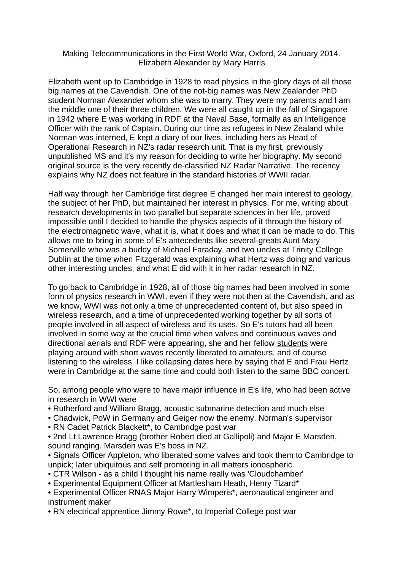## Making Telecommunications in the First World War, Oxford, 24 January 2014. Elizabeth Alexander by Mary Harris

Elizabeth went up to Cambridge in 1928 to read physics in the glory days of all those big names at the Cavendish. One of the not-big names was New Zealander PhD student Norman Alexander whom she was to marry. They were my parents and I am the middle one of their three children. We were all caught up in the fall of Singapore in 1942 where E was working in RDF at the Naval Base, formally as an Intelligence Officer with the rank of Captain. During our time as refugees in New Zealand while Norman was interned, E kept a diary of our lives, including hers as Head of Operational Research in NZ's radar research unit. That is my first, previously unpublished MS and it's my reason for deciding to write her biography. My second original source is the very recently de-classified NZ Radar Narrative. The recency explains why NZ does not feature in the standard histories of WWII radar.

Half way through her Cambridge first degree E changed her main interest to geology, the subject of her PhD, but maintained her interest in physics. For me, writing about research developments in two parallel but separate sciences in her life, proved impossible until I decided to handle the physics aspects of it through the history of the electromagnetic wave, what it is, what it does and what it can be made to do. This allows me to bring in some of E's antecedents like several-greats Aunt Mary Somerville who was a buddy of Michael Faraday, and two uncles at Trinity College Dublin at the time when Fitzgerald was explaining what Hertz was doing and various other interesting uncles, and what E did with it in her radar research in NZ.

To go back to Cambridge in 1928, all of those big names had been involved in some form of physics research in WWI, even if they were not then at the Cavendish, and as we know, WWI was not only a time of unprecedented content of, but also speed in wireless research, and a time of unprecedented working together by all sorts of people involved in all aspect of wireless and its uses. So E's tutors had all been involved in some way at the crucial time when valves and continuous waves and directional aerials and RDF were appearing, she and her fellow students were playing around with short waves recently liberated to amateurs, and of course listening to the wireless. I like collapsing dates here by saying that E and Frau Hertz were in Cambridge at the same time and could both listen to the same BBC concert.

So, among people who were to have major influence in E's life, who had been active in research in WWI were

- Rutherford and William Bragg, acoustic submarine detection and much else
- Chadwick, PoW in Germany and Geiger now the enemy, Norman's supervisor
- RN Cadet Patrick Blackett\*, to Cambridge post war
- 2nd Lt Lawrence Bragg (brother Robert died at Gallipoli) and Major E Marsden, sound ranging. Marsden was E's boss in NZ.
- Signals Officer Appleton, who liberated some valves and took them to Cambridge to unpick; later ubiquitous and self promoting in all matters ionospheric
- CTR Wilson as a child I thought his name really was 'Cloudchamber'
- Experimental Equipment Officer at Martlesham Heath, Henry Tizard\*
- Experimental Officer RNAS Major Harry Wimperis\*, aeronautical engineer and instrument maker
- RN electrical apprentice Jimmy Rowe\*, to Imperial College post war